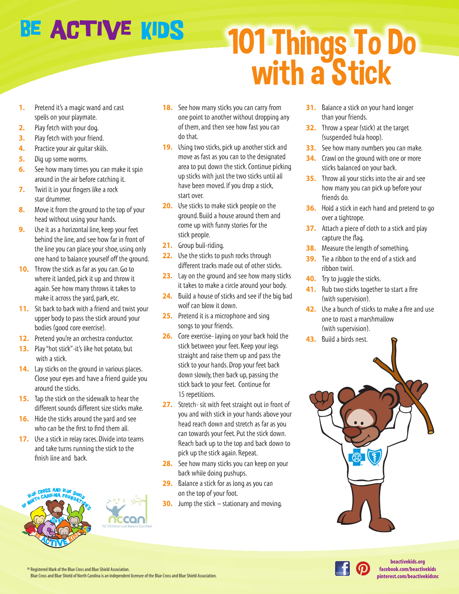## BE ACTIVE KIDS

## 101 Things To Do with a Stick

- **1.** Pretend it's a magic wand and cast spells on your playmate.
- **2.** Play fetch with your dog.
- **3.** Play fetch with your friend.
- **4.** Practice your air guitar skills.
- **5.** Dig up some worms.
- **6.** See how many times you can make it spin around in the air before catching it.
- **7.** Twirl it in your fingers like a rock star drummer.
- **8.** Move it from the ground to the top of your head without using your hands.
- **9.** Use it as a horizontal line, keep your feet behind the line, and see how far in front of the line you can place your shoe, using only one hand to balance yourself off the ground.
- **10.** Throw the stick as far as you can. Go to where it landed, pick it up and throw it again. See how many throws it takes to make it across the yard, park, etc.
- **11.** Sit back to back with a friend and twist your upper body to pass the stick around your bodies (good core exercise).
- **12.** Pretend you're an orchestra conductor.
- **13.** Play "hot stick"-it's like hot potato, but with a stick.
- **14.** Lay sticks on the ground in various places. Close your eyes and have a friend guide you around the sticks.
- **15.** Tap the stick on the sidewalk to hear the different sounds different size sticks make.
- **16.** Hide the sticks around the yard and see who can be the first to find them all.
- **17.** Use a stick in relay races. Divide into teams and take turns running the stick to the finish line and back.





- **18.** See how many sticks you can carry from one point to another without dropping any of them, and then see how fast you can do that.
- **19.** Using two sticks, pick up another stick and move as fast as you can to the designated area to put down the stick. Continue picking up sticks with just the two sticks until all have been moved. If you drop a stick, start over.
- **20.** Use sticks to make stick people on the ground. Build a house around them and come up with funny stories for the stick people.
- **21.** Group bull-riding.
- **22.** Use the sticks to push rocks through different tracks made out of other sticks.
- **23.** Lay on the ground and see how many sticks it takes to make a circle around your body.
- **24.** Build a house of sticks and see if the big bad wolf can blow it down.
- **25.** Pretend it is a microphone and sing songs to your friends.
- **26.** Core exercise- laying on your back hold the stick between your feet. Keep your legs straight and raise them up and pass the stick to your hands. Drop your feet back down slowly, then back up, passing the stick back to your feet. Continue for 15 repetitions.
- **27.** Stretch- sit with feet straight out in front of you and with stick in your hands above your head reach down and stretch as far as you can towards your feet. Put the stick down. Reach back up to the top and back down to pick up the stick again. Repeat.
- **28.** See how many sticks you can keep on your back while doing pushups.
- **29.** Balance a stick for as long as you can on the top of your foot.
- **30.** Jump the stick stationary and moving.
- **31.** Balance a stick on your hand longer than your friends.
- **32.** Throw a spear (stick) at the target (suspended hula hoop).
- **33.** See how many numbers you can make.
- **34.** Crawl on the ground with one or more sticks balanced on your back.
- **35.** Throw all your sticks into the air and see how many you can pick up before your friends do.
- **36.** Hold a stick in each hand and pretend to go over a tightrope.
- **37.** Attach a piece of cloth to a stick and play capture the flag.
- **38.** Measure the length of something.
- **39.** Tie a ribbon to the end of a stick and ribbon twirl.
- **40.** Try to juggle the sticks.
- **41.** Rub two sticks together to start a fire (with supervision).
- **42.** Use a bunch of sticks to make a fire and use one to roast a marshmallow (with supervision).
- **43.** Build a birds nest.





® Registered Mark of the Blue Cross and Blue Shield Association. Blue Cross and Blue Shield of North Carolina is an independent licensee of the Blue Cross and Blue Shield Association.